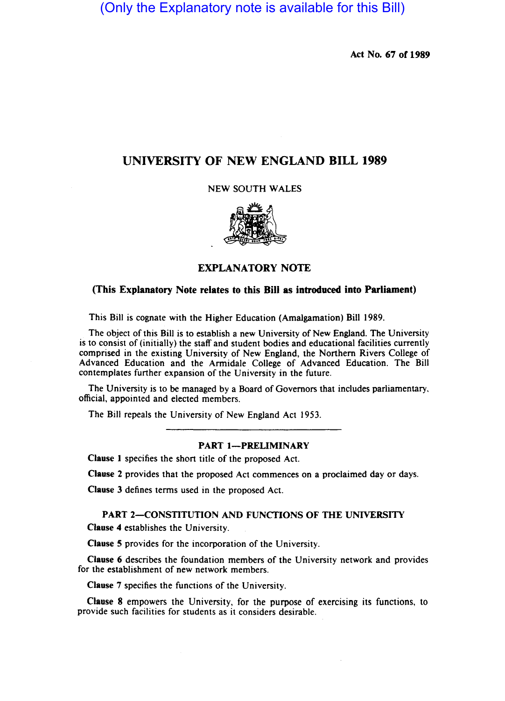(Only the Explanatory note is available for this Bill)

Act No. 67 of 1989

## UNIVERSITY OF NEW ENGLAND BILL 1989

NEW SOUTH WALES



## EXPLANATORY NOTE

## (This Explanatory Note relates to this Bill as introduced into Parliament)

This Bill is cognate with the Higher Education (Amalgamation) Bill 1989.

The object of this Bill is to establish a new University of New England. The University is to consist of (initially) the staff and student bodies and educational facilities currently comprised in the existing University of New England, the Northern Rivers College of Advanced Education and the Armidale College of Advanced Education. The Bill contemplates further expansion of the University in the future.

The University is to be managed by a Board of Governors that includes parliamentary, official, appointed and elected members.

The Bill repeals the University of New England Act 1953.

#### PART 1-PRELIMINARY

Clause I specifies the short title of the proposed Act.

Clause 2 provides that the proposed Act commences on a proclaimed day or days.

Clause 3 defines terms used in the proposed Act.

# PART 2-CONSTITUTION AND FUNCTIONS OF THE UNIVERSITY

Clause 4 establishes the University.

Clause 5 provides for the incorporation of the University.

Clause 6 describes the foundation members of the University network and provides for the establishment of new network members.

Clause 7 specifies the functions of the University.

Clause 8 empowers the University, for the purpose of exercising its functions, to provide such facilities for students as it considers desirable.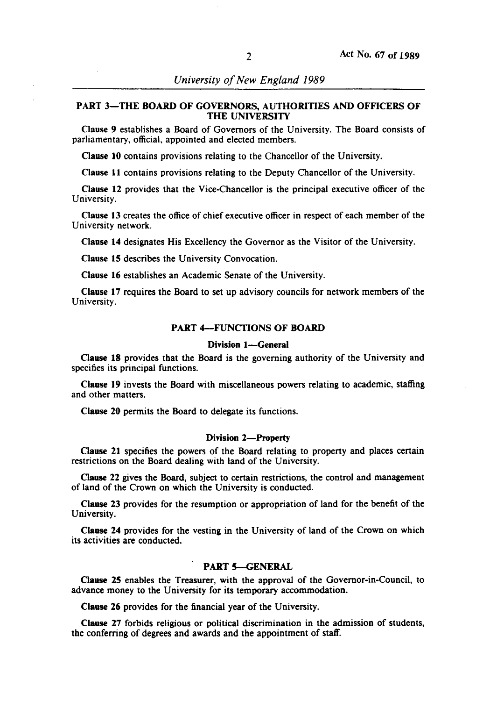## PART 3-THE BOARD OF GOVERNORS, AUTHORITIES AND OFFICERS OF THE UNIVERSITY

Clause 9 establishes a Board of Governors of the University. The Board consists of parliamentary, official, appointed and elected members.

Clause 10 contains provisions relating to the Chancellor of the University.

Clause 11 contains provisions relating to the Deputy Chancellor of the University.

Clause 12 provides that the Vice-Chancellor is the principal executive officer of the University.

Clause 13 creates the office of chief executive officer in respect of each member of the University network.

Clause 14 designates His Excellency the Governor as the Visitor of the University.

Clause IS describes the University Convocation.

Clause 16 establishes an Academic Senate of the University.

Clause 17 requires the Board to set up advisory councils for network members of the University.

#### PART 4-FUNCTIONS OF BOARD

#### Division 1-General

Clause 18 provides that the Board is the governing authority of the University and specifies its principal functions.

Clause 19 invests the Board with miscellaneous powers relating to academic, staffing and other matters.

Clause 20 pennits the Board to delegate its functions.

#### Division 2-Property

Clause 21 specifies the powers of the Board relating to property and places certain restrictions on the Board dealing with land of the University.

Clause 22 gives the Board, subject to certain restrictions, the control and management of land of the Crown on which the University is conducted.

Clause 23 provides for the resumption or appropriation of land for the benefit of the University.

Clause 24 provides for the vesting in the University of land of the Crown on which its activities are conducted.

### PART 5-GENERAL

Clause 25 enables the Treasurer, with the approval of the Governor-in-Council, to advance money to the University for its temporary accommodation.

Clause 26 provides for the financial year of the University.

Clause 27 forbids religious or political discrimination in the admission of students, the conferring of degrees and awards and the appointment of staff.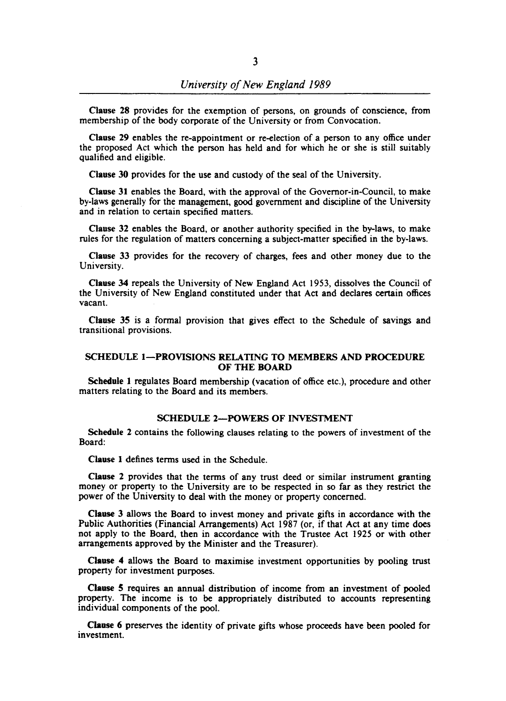Clause 28 provides for the exemption of persons, on grounds of conscience, from membership of the body corporate of the University or from Convocation.

Clause 29 enables the re-appointment or re-election of a person to any office under the proposed Act which the person has held and for which he or she is still suitably qualified and eligible.

Clause 30 provides for the use and custody of the seal of the University.

Clause 31 enables the Board, with the approval of the Governor-in-Council, to make by-laws generally for the management, good government and discipline of the University and in relation to certain specified matters.

Clause 32 enables the Board, or another authority specified in the by-laws, to make rules for the regulation of matters concerning a subject-matter specified in the by-laws.

Clause 33 provides for the recovery of charges, fees and other money due to the University.

Clause 34 repeals the University of New England Act 1953, dissolves the Council of the University of New England constituted under that Act and declares certain offices vacant.

Clause 35 is a formal provision that gives effect to the Schedule of savings and transitional provisions.

## SCHEDULE 1-PROVISIONS RELATING TO MEMBERS AND PROCEDURE OF THE BOARD

Schedule 1 regulates Board membership (vacation of office etc.), procedure and other matters relating to the Board and its members.

## SCHEDULE 2-POWERS OF INVESTMENT

Schedule 2 contains the following clauses relating to the powers of investment of the Board:

Clause 1 defines terms used in the Schedule.

Clause 2 provides that the terms of any trust deed or similar instrument granting money or property to the University are to be respected in so far as they restrict the power of the University to deal with the money or property concerned.

Clause 3 allows the Board to invest money and private gifts in accordance with the Public Authorities (Financial Arrangements) Act 1987 (or, if that Act at any time does not apply to the Board, then in accordance with the Trustee Act 1925 or with other arrangements approved by the Minister and the Treasurer).

Clause 4 allows the Board to maximise investment opportunities by pooling trust property for investment purposes.

Clause 5 requires an annual distribution of income from an investment of pooled property. The income is to be appropriately distributed to accounts representing individual components of the pool.

Clause 6 preserves the identity of private gifts whose proceeds have been pooled for investment.